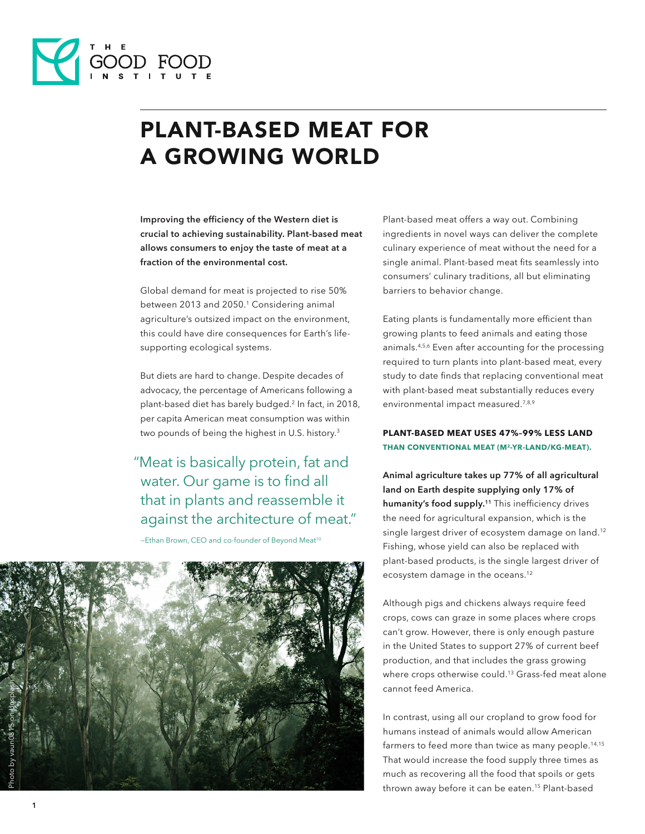

# PLANT-BASED MEAT FOR A GROWING WORLD

**Improving the efficiency of the Western diet is crucial to achieving sustainability. Plant-based meat allows consumers to enjoy the taste of meat at a fraction of the environmental cost.**

Global demand for meat is projected to rise 50% between 2013 and 2050.<sup>1</sup> Considering animal agriculture's outsized impact on the environment, this could have dire consequences for Earth's lifesupporting ecological systems.

But diets are hard to change. Despite decades of advocacy, the percentage of Americans following a plant-based diet has barely budged.2 In fact, in 2018, per capita American meat consumption was within two pounds of being the highest in U.S. history.<sup>3</sup>

# "Meat is basically protein, fat and water. Our game is to find all that in plants and reassemble it against the architecture of meat."

-Ethan Brown, CEO and co-founder of Beyond Meat<sup>10</sup>



Plant-based meat offers a way out. Combining ingredients in novel ways can deliver the complete culinary experience of meat without the need for a single animal. Plant-based meat fits seamlessly into consumers' culinary traditions, all but eliminating barriers to behavior change.

Eating plants is fundamentally more efficient than growing plants to feed animals and eating those animals.4,5,6 Even after accounting for the processing required to turn plants into plant-based meat, every study to date finds that replacing conventional meat with plant-based meat substantially reduces every environmental impact measured.<sup>7,8,9</sup>

#### **PLANT-BASED MEAT USES 47%–99% LESS LAND THAN CONVENTIONAL MEAT (M2-YR-LAND/KG-MEAT).**

**Animal agriculture takes up 77% of all agricultural land on Earth despite supplying only 17% of humanity's food supply.11** This inefficiency drives the need for agricultural expansion, which is the single largest driver of ecosystem damage on land.<sup>12</sup> Fishing, whose yield can also be replaced with plant-based products, is the single largest driver of ecosystem damage in the oceans.12

Although pigs and chickens always require feed crops, cows can graze in some places where crops can't grow. However, there is only enough pasture in the United States to support 27% of current beef production, and that includes the grass growing where crops otherwise could.<sup>13</sup> Grass-fed meat alone cannot feed America.

In contrast, using all our cropland to grow food for humans instead of animals would allow American farmers to feed more than twice as many people.<sup>14,15</sup> That would increase the food supply three times as much as recovering all the food that spoils or gets thrown away before it can be eaten.<sup>15</sup> Plant-based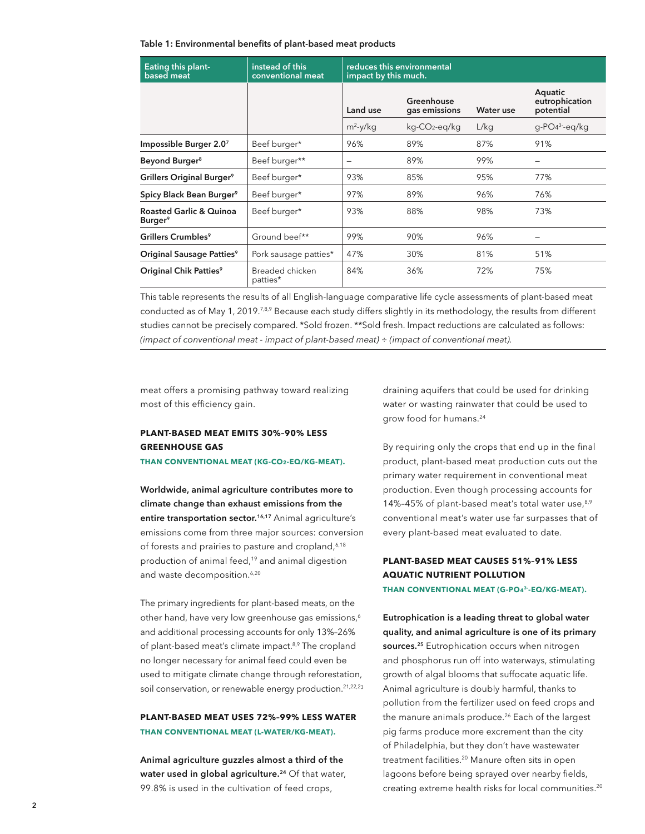#### **Table 1: Environmental benefits of plant-based meat products**

| <b>Eating this plant-</b><br>based meat                   | instead of this<br>conventional meat | reduces this environmental<br>impact by this much. |                             |           |                                        |
|-----------------------------------------------------------|--------------------------------------|----------------------------------------------------|-----------------------------|-----------|----------------------------------------|
|                                                           |                                      | Land use                                           | Greenhouse<br>gas emissions | Water use | Aquatic<br>eutrophication<br>potential |
|                                                           |                                      | $m^2$ -y/kq                                        | kg-CO2-eg/kg                | L/kg      | $q$ -PO $4^3$ -eg/kg                   |
| Impossible Burger 2.07                                    | Beef burger*                         | 96%                                                | 89%                         | 87%       | 91%                                    |
| Beyond Burger <sup>8</sup>                                | Beef burger**                        | -                                                  | 89%                         | 99%       |                                        |
| Grillers Original Burger <sup>9</sup>                     | Beef burger*                         | 93%                                                | 85%                         | 95%       | 77%                                    |
| Spicy Black Bean Burger <sup>9</sup>                      | Beef burger*                         | 97%                                                | 89%                         | 96%       | 76%                                    |
| <b>Roasted Garlic &amp; Quinoa</b><br>Burger <sup>9</sup> | Beef burger*                         | 93%                                                | 88%                         | 98%       | 73%                                    |
| Grillers Crumbles <sup>9</sup>                            | Ground beef**                        | 99%                                                | 90%                         | 96%       |                                        |
| Original Sausage Patties <sup>9</sup>                     | Pork sausage patties*                | 47%                                                | 30%                         | 81%       | 51%                                    |
| Original Chik Patties <sup>9</sup>                        | Breaded chicken<br>patties*          | 84%                                                | 36%                         | 72%       | 75%                                    |

This table represents the results of all English-language comparative life cycle assessments of plant-based meat conducted as of May 1, 2019.<sup>7,8,9</sup> Because each study differs slightly in its methodology, the results from different studies cannot be precisely compared. \*Sold frozen. \*\*Sold fresh. Impact reductions are calculated as follows: *(impact of conventional meat ﹣ impact of plant-based meat) ÷ (impact of conventional meat).*

meat offers a promising pathway toward realizing most of this efficiency gain.

### **PLANT-BASED MEAT EMITS 30%–90% LESS GREENHOUSE GAS**

**THAN CONVENTIONAL MEAT (KG-CO2-EQ/KG-MEAT).**

**Worldwide, animal agriculture contributes more to climate change than exhaust emissions from the**  entire transportation sector.<sup>16,17</sup> Animal agriculture's emissions come from three major sources: conversion of forests and prairies to pasture and cropland,<sup>6,18</sup> production of animal feed,<sup>19</sup> and animal digestion and waste decomposition.<sup>6,20</sup>

The primary ingredients for plant-based meats, on the other hand, have very low greenhouse gas emissions,<sup>6</sup> and additional processing accounts for only 13%–26% of plant-based meat's climate impact.<sup>8,9</sup> The cropland no longer necessary for animal feed could even be used to mitigate climate change through reforestation, soil conservation, or renewable energy production.<sup>21,22,23</sup>

#### **PLANT-BASED MEAT USES 72%–99% LESS WATER THAN CONVENTIONAL MEAT (L-WATER/KG-MEAT).**

**Animal agriculture guzzles almost a third of the water used in global agriculture.<sup>24</sup>** Of that water, 99.8% is used in the cultivation of feed crops,

draining aquifers that could be used for drinking water or wasting rainwater that could be used to grow food for humans.24

By requiring only the crops that end up in the final product, plant-based meat production cuts out the primary water requirement in conventional meat production. Even though processing accounts for 14%-45% of plant-based meat's total water use, 8,9 conventional meat's water use far surpasses that of every plant-based meat evaluated to date.

## **PLANT-BASED MEAT CAUSES 51%–91% LESS AQUATIC NUTRIENT POLLUTION**

**THAN CONVENTIONAL MEAT (G-PO43--EQ/KG-MEAT).**

**Eutrophication is a leading threat to global water quality, and animal agriculture is one of its primary sources.<sup>25</sup>** Eutrophication occurs when nitrogen and phosphorus run off into waterways, stimulating growth of algal blooms that suffocate aquatic life. Animal agriculture is doubly harmful, thanks to pollution from the fertilizer used on feed crops and the manure animals produce.<sup>26</sup> Each of the largest pig farms produce more excrement than the city of Philadelphia, but they don't have wastewater treatment facilities.<sup>20</sup> Manure often sits in open lagoons before being sprayed over nearby fields, creating extreme health risks for local communities.<sup>20</sup>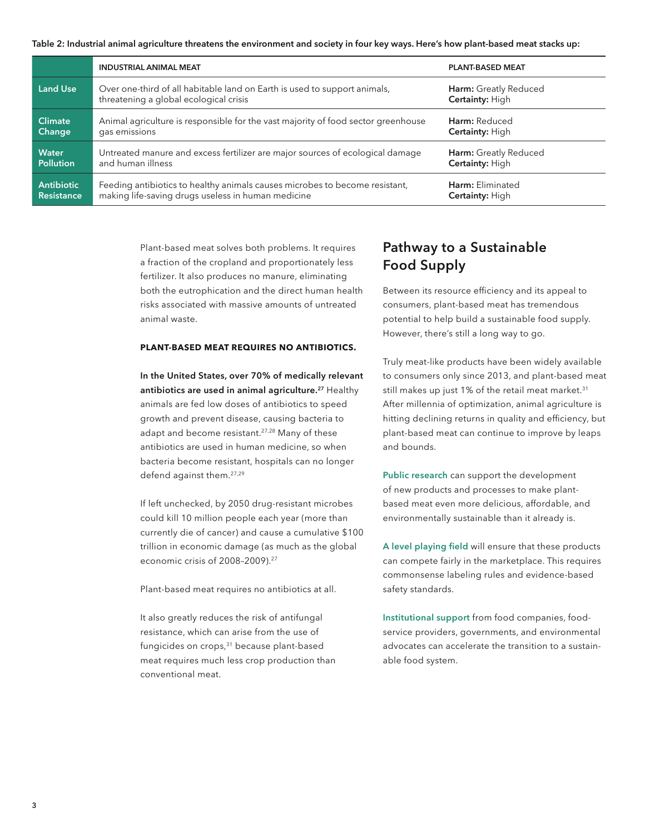**Table 2: Industrial animal agriculture threatens the environment and society in four key ways. Here's how plant-based meat stacks up:**

|                   | <b>INDUSTRIAL ANIMAL MEAT</b>                                                                                       | <b>PLANT-BASED MEAT</b>                         |  |
|-------------------|---------------------------------------------------------------------------------------------------------------------|-------------------------------------------------|--|
| <b>Land Use</b>   | Over one-third of all habitable land on Earth is used to support animals,<br>threatening a global ecological crisis | Harm: Greatly Reduced<br><b>Certainty: High</b> |  |
| <b>Climate</b>    | Animal agriculture is responsible for the vast majority of food sector greenhouse                                   | Harm: Reduced                                   |  |
| Change            | gas emissions                                                                                                       | <b>Certainty: High</b>                          |  |
| <b>Water</b>      | Untreated manure and excess fertilizer are major sources of ecological damage                                       | Harm: Greatly Reduced                           |  |
| <b>Pollution</b>  | and human illness                                                                                                   | <b>Certainty: High</b>                          |  |
| <b>Antibiotic</b> | Feeding antibiotics to healthy animals causes microbes to become resistant,                                         | Harm: Eliminated                                |  |
| <b>Resistance</b> | making life-saving drugs useless in human medicine                                                                  | <b>Certainty: High</b>                          |  |

Plant-based meat solves both problems. It requires a fraction of the cropland and proportionately less fertilizer. It also produces no manure, eliminating both the eutrophication and the direct human health risks associated with massive amounts of untreated animal waste.

#### **PLANT-BASED MEAT REQUIRES NO ANTIBIOTICS.**

**In the United States, over 70% of medically relevant antibiotics are used in animal agriculture.27** Healthy animals are fed low doses of antibiotics to speed growth and prevent disease, causing bacteria to adapt and become resistant.27,28 Many of these antibiotics are used in human medicine, so when bacteria become resistant, hospitals can no longer defend against them.27,29

If left unchecked, by 2050 drug-resistant microbes could kill 10 million people each year (more than currently die of cancer) and cause a cumulative \$100 trillion in economic damage (as much as the global economic crisis of 2008–2009).27

Plant-based meat requires no antibiotics at all.

It also greatly reduces the risk of antifungal resistance, which can arise from the use of fungicides on crops,<sup>31</sup> because plant-based meat requires much less crop production than conventional meat.

## **Pathway to a Sustainable Food Supply**

Between its resource efficiency and its appeal to consumers, plant-based meat has tremendous potential to help build a sustainable food supply. However, there's still a long way to go.

Truly meat-like products have been widely available to consumers only since 2013, and plant-based meat still makes up just 1% of the retail meat market.<sup>31</sup> After millennia of optimization, animal agriculture is hitting declining returns in quality and efficiency, but plant-based meat can continue to improve by leaps and bounds.

**Public research** can support the development of new products and processes to make plantbased meat even more delicious, affordable, and environmentally sustainable than it already is.

**A level playing field** will ensure that these products can compete fairly in the marketplace. This requires commonsense labeling rules and evidence-based safety standards.

**Institutional support** from food companies, foodservice providers, governments, and environmental advocates can accelerate the transition to a sustainable food system.